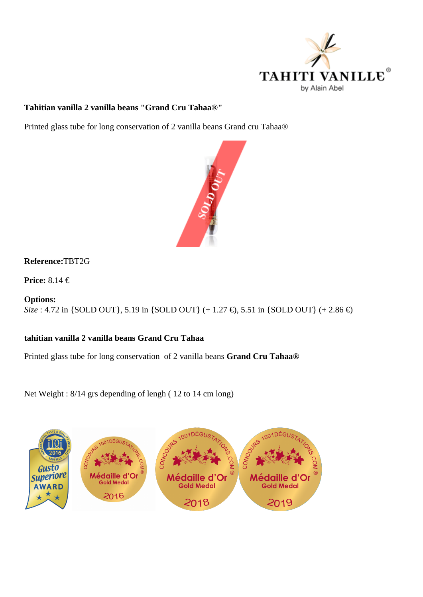Tahitian vanilla 2 vanilla beans "Grand Cru Tahaa®"

Printed glass tube for long conservation of 2 vanilla beans Grand cru Tahaa®

## ReferenceTBT2G

Price: 8.14 €

Options: Size: 4.72 in {SOLD OUT}, 5.19 in {SOLD OUT} (+ 1.27 €), 5.51 in {SOLD OUT} (+ 2.86 €)

tahitian vanilla 2 vanilla beans Grand Cru Tahaa

Printed glass tube for long conservation of 2 vanilla beansd Cru Tahaa®

Net Weight : 8/14 grs depending of lengh ( 12 to 14 cm long)